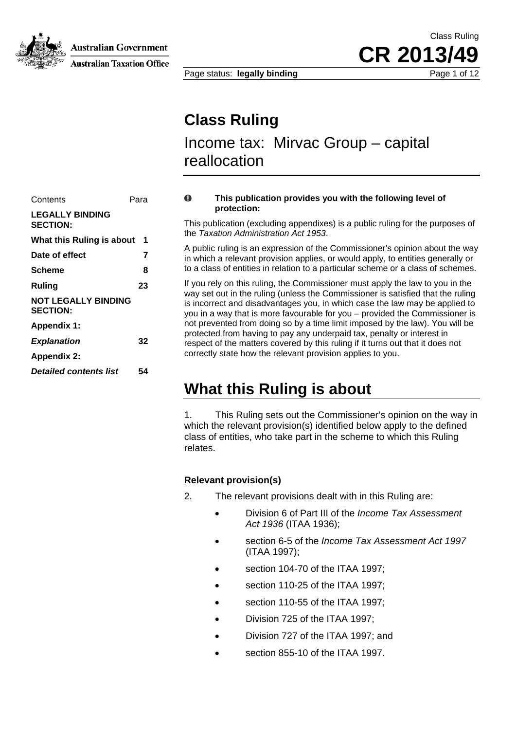

Australian Government

**Australian Taxation Office** 

**CR 2013/49**

Class Ruling

Page status: **legally binding** Page 1 of 12

# **Class Ruling**

Income tax: Mirvac Group – capital reallocation

### Contents Para **LEGALLY BINDING**  the *Taxation Administration Act 1953*. **What this Ruling is about 1**  Date of effect 7 **Ruling 23 NOT LEGALLY BINDING SECTION: Appendix 1:**  *Explanation* 32 **Appendix 2:**  *Detailed contents list* **54**

#### $\Omega$ **This publication provides you with the following level of protection:**

**SECTION:** This publication (excluding appendixes) is a public ruling for the purposes of

A public ruling is an expression of the Commissioner's opinion about the way in which a relevant provision applies, or would apply, to entities generally or f entities in relation to a particular scheme or a class of schemes. **Scheme 8** to a class o

> If you rely on this ruling, the Commissioner must apply the law to you in the way set out in the ruling (unless the Commissioner is satisfied that the ruling is incorrect and disadvantages you, in which case the law may be applied to you in a way that is more favourable for you – provided the Commissioner is not prevented from doing so by a time limit imposed by the law). You will be protected from having to pay any underpaid tax, penalty or interest in respect of the matters covered by this ruling if it turns out that it does not correctly state how the relevant provision applies to you.

## **What this Ruling is about**

1. This Ruling sets out the Commissioner's opinion on the way in which the relevant provision(s) identified below apply to the defined class of entities, who take part in the scheme to which this Ruling relates.

#### **Relevant provision(s)**

- 2. The relevant provisions dealt with in this Ruling are:
	- Division 6 of Part III of the *Income Tax Assessment Act 1936* (ITAA 1936);
	- section 6-5 of the *Income Tax Assessment Act 1997* (ITAA 1997);
	- section 104-70 of the ITAA 1997;
	- section 110-25 of the ITAA 1997;
	- section 110-55 of the ITAA 1997;
	- Division 725 of the ITAA 1997;
	- Division 727 of the ITAA 1997; and
	- section 855-10 of the ITAA 1997.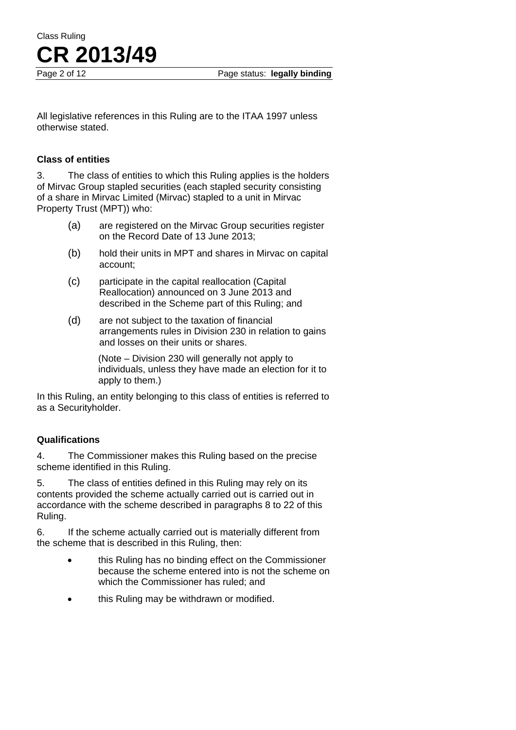Class Ruling **CR 2013/49**

Page 2 of 12 Page status: **legally binding** 

All legislative references in this Ruling are to the ITAA 1997 unless otherwise stated.

#### **Class of entities**

3. The class of entities to which this Ruling applies is the holders of Mirvac Group stapled securities (each stapled security consisting of a share in Mirvac Limited (Mirvac) stapled to a unit in Mirvac Property Trust (MPT)) who:

- (a) are registered on the Mirvac Group securities register on the Record Date of 13 June 2013;
- (b) hold their units in MPT and shares in Mirvac on capital account;
- (c) participate in the capital reallocation (Capital Reallocation) announced on 3 June 2013 and described in the Scheme part of this Ruling; and
- (d) are not subject to the taxation of financial arrangements rules in Division 230 in relation to gains and losses on their units or shares.

(Note – Division 230 will generally not apply to individuals, unless they have made an election for it to apply to them.)

In this Ruling, an entity belonging to this class of entities is referred to as a Securityholder.

#### **Qualifications**

4. The Commissioner makes this Ruling based on the precise scheme identified in this Ruling.

5. The class of entities defined in this Ruling may rely on its contents provided the scheme actually carried out is carried out in accordance with the scheme described in paragraphs 8 to 22 of this Ruling.

6. If the scheme actually carried out is materially different from the scheme that is described in this Ruling, then:

- this Ruling has no binding effect on the Commissioner because the scheme entered into is not the scheme on which the Commissioner has ruled; and
- this Ruling may be withdrawn or modified.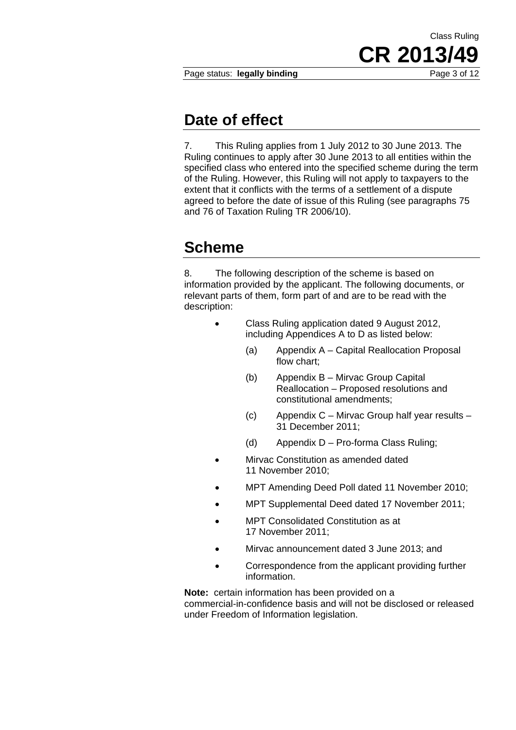Page status: **legally binding** Page 3 of 12

**CR 2013/49**

Class Ruling

### **Date of effect**

7. This Ruling applies from 1 July 2012 to 30 June 2013. The Ruling continues to apply after 30 June 2013 to all entities within the specified class who entered into the specified scheme during the term of the Ruling. However, this Ruling will not apply to taxpayers to the extent that it conflicts with the terms of a settlement of a dispute agreed to before the date of issue of this Ruling (see paragraphs 75 and 76 of Taxation Ruling TR 2006/10).

# **Scheme**

8. The following description of the scheme is based on information provided by the applicant. The following documents, or relevant parts of them, form part of and are to be read with the description:

- Class Ruling application dated 9 August 2012, including Appendices A to D as listed below:
	- (a) Appendix A Capital Reallocation Proposal flow chart;
	- (b) Appendix B Mirvac Group Capital Reallocation – Proposed resolutions and constitutional amendments;
	- (c) Appendix C Mirvac Group half year results 31 December 2011;
	- (d) Appendix D Pro-forma Class Ruling;
- Mirvac Constitution as amended dated 11 November 2010;
- MPT Amending Deed Poll dated 11 November 2010;
- MPT Supplemental Deed dated 17 November 2011;
- MPT Consolidated Constitution as at 17 November 2011;
- Mirvac announcement dated 3 June 2013; and
- Correspondence from the applicant providing further information.

**Note:** certain information has been provided on a commercial-in-confidence basis and will not be disclosed or released under Freedom of Information legislation.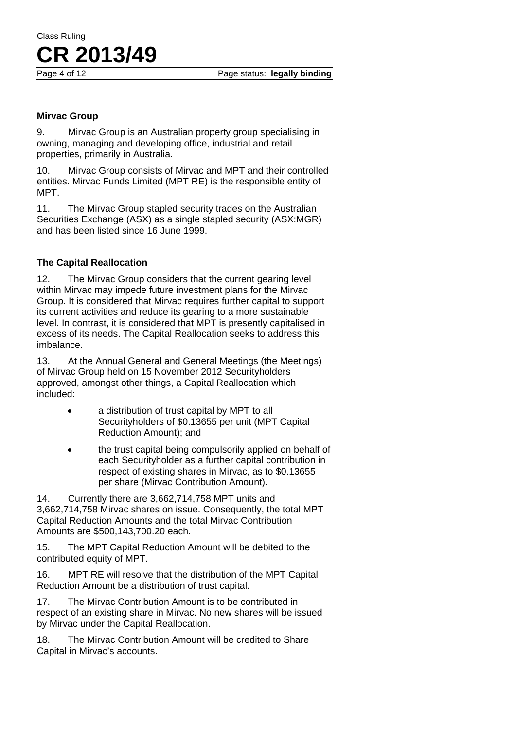Page 4 of 12 Page status: **legally binding** 

#### **Mirvac Group**

9. Mirvac Group is an Australian property group specialising in owning, managing and developing office, industrial and retail properties, primarily in Australia.

10. Mirvac Group consists of Mirvac and MPT and their controlled entities. Mirvac Funds Limited (MPT RE) is the responsible entity of MPT.

11. The Mirvac Group stapled security trades on the Australian Securities Exchange (ASX) as a single stapled security (ASX:MGR) and has been listed since 16 June 1999.

#### **The Capital Reallocation**

12. The Mirvac Group considers that the current gearing level within Mirvac may impede future investment plans for the Mirvac Group. It is considered that Mirvac requires further capital to support its current activities and reduce its gearing to a more sustainable level. In contrast, it is considered that MPT is presently capitalised in excess of its needs. The Capital Reallocation seeks to address this imbalance.

13. At the Annual General and General Meetings (the Meetings) of Mirvac Group held on 15 November 2012 Securityholders approved, amongst other things, a Capital Reallocation which included:

- a distribution of trust capital by MPT to all Securityholders of \$0.13655 per unit (MPT Capital Reduction Amount); and
- the trust capital being compulsorily applied on behalf of each Securityholder as a further capital contribution in respect of existing shares in Mirvac, as to \$0.13655 per share (Mirvac Contribution Amount).

14. Currently there are 3,662,714,758 MPT units and 3,662,714,758 Mirvac shares on issue. Consequently, the total MPT Capital Reduction Amounts and the total Mirvac Contribution Amounts are \$500,143,700.20 each.

15. The MPT Capital Reduction Amount will be debited to the contributed equity of MPT.

16. MPT RE will resolve that the distribution of the MPT Capital Reduction Amount be a distribution of trust capital.

17. The Mirvac Contribution Amount is to be contributed in respect of an existing share in Mirvac. No new shares will be issued by Mirvac under the Capital Reallocation.

18. The Mirvac Contribution Amount will be credited to Share Capital in Mirvac's accounts.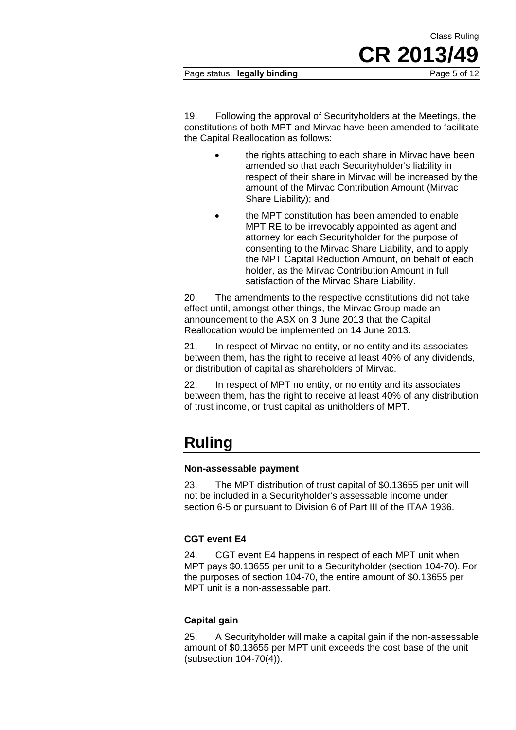19. Following the approval of Securityholders at the Meetings, the constitutions of both MPT and Mirvac have been amended to facilitate the Capital Reallocation as follows:

- the rights attaching to each share in Mirvac have been amended so that each Securityholder's liability in respect of their share in Mirvac will be increased by the amount of the Mirvac Contribution Amount (Mirvac Share Liability); and
- the MPT constitution has been amended to enable MPT RE to be irrevocably appointed as agent and attorney for each Securityholder for the purpose of consenting to the Mirvac Share Liability, and to apply the MPT Capital Reduction Amount, on behalf of each holder, as the Mirvac Contribution Amount in full satisfaction of the Mirvac Share Liability.

20. The amendments to the respective constitutions did not take effect until, amongst other things, the Mirvac Group made an announcement to the ASX on 3 June 2013 that the Capital Reallocation would be implemented on 14 June 2013.

21. In respect of Mirvac no entity, or no entity and its associates between them, has the right to receive at least 40% of any dividends, or distribution of capital as shareholders of Mirvac.

22. In respect of MPT no entity, or no entity and its associates between them, has the right to receive at least 40% of any distribution of trust income, or trust capital as unitholders of MPT.

# **Ruling**

#### **Non-assessable payment**

23. The MPT distribution of trust capital of \$0.13655 per unit will not be included in a Securityholder's assessable income under section 6-5 or pursuant to Division 6 of Part III of the ITAA 1936.

### **CGT event E4**

24. CGT event E4 happens in respect of each MPT unit when MPT pays \$0.13655 per unit to a Securityholder (section 104-70). For the purposes of section 104-70, the entire amount of \$0.13655 per MPT unit is a non-assessable part.

### **Capital gain**

25. A Securityholder will make a capital gain if the non-assessable amount of \$0.13655 per MPT unit exceeds the cost base of the unit (subsection 104-70(4)).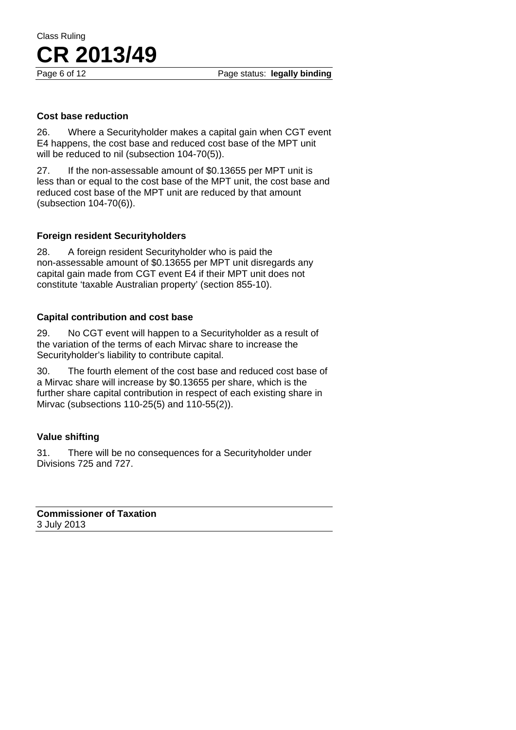Page 6 of 12 **Page status: legally binding** 

Class Ruling

#### **Cost base reduction**

**CR 2013/49**

26. Where a Securityholder makes a capital gain when CGT event E4 happens, the cost base and reduced cost base of the MPT unit will be reduced to nil (subsection 104-70(5)).

27. If the non-assessable amount of \$0.13655 per MPT unit is less than or equal to the cost base of the MPT unit, the cost base and reduced cost base of the MPT unit are reduced by that amount (subsection 104-70(6)).

#### **Foreign resident Securityholders**

28. A foreign resident Securityholder who is paid the non-assessable amount of \$0.13655 per MPT unit disregards any capital gain made from CGT event E4 if their MPT unit does not constitute 'taxable Australian property' (section 855-10).

#### **Capital contribution and cost base**

29. No CGT event will happen to a Securityholder as a result of the variation of the terms of each Mirvac share to increase the Securityholder's liability to contribute capital.

30. The fourth element of the cost base and reduced cost base of a Mirvac share will increase by \$0.13655 per share, which is the further share capital contribution in respect of each existing share in Mirvac (subsections 110-25(5) and 110-55(2)).

#### **Value shifting**

31. There will be no consequences for a Securityholder under Divisions 725 and 727.

**Commissioner of Taxation**  3 July 2013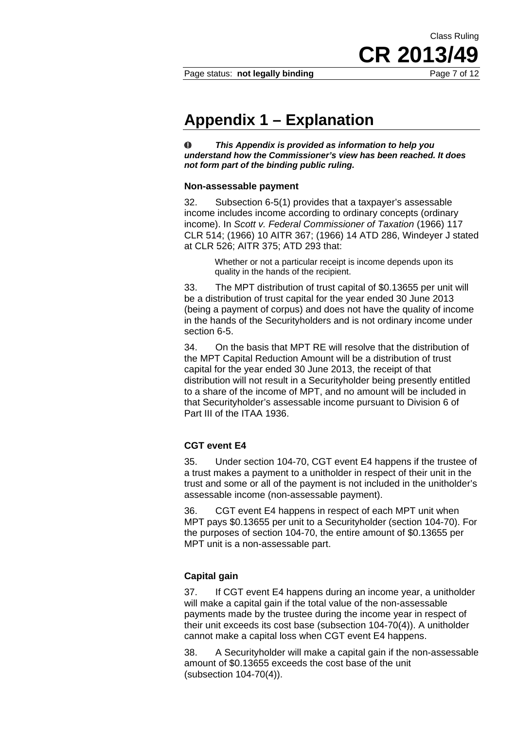Class Ruling

**CR 2013/49**

### **Appendix 1 – Explanation**

 $\bf{O}$ *This Appendix is provided as information to help you understand how the Commissioner's view has been reached. It does not form part of the binding public ruling.* 

#### **Non-assessable payment**

32. Subsection 6-5(1) provides that a taxpayer's assessable income includes income according to ordinary concepts (ordinary income). In *Scott v. Federal Commissioner of Taxation* (1966) 117 CLR 514; (1966) 10 AITR 367; (1966) 14 ATD 286, Windeyer J stated at CLR 526; AITR 375; ATD 293 that:

> Whether or not a particular receipt is income depends upon its quality in the hands of the recipient.

33. The MPT distribution of trust capital of \$0.13655 per unit will be a distribution of trust capital for the year ended 30 June 2013 (being a payment of corpus) and does not have the quality of income in the hands of the Securityholders and is not ordinary income under section 6-5.

34. On the basis that MPT RE will resolve that the distribution of the MPT Capital Reduction Amount will be a distribution of trust capital for the year ended 30 June 2013, the receipt of that distribution will not result in a Securityholder being presently entitled to a share of the income of MPT, and no amount will be included in that Securityholder's assessable income pursuant to Division 6 of Part III of the ITAA 1936.

#### **CGT event E4**

35. Under section 104-70, CGT event E4 happens if the trustee of a trust makes a payment to a unitholder in respect of their unit in the trust and some or all of the payment is not included in the unitholder's assessable income (non-assessable payment).

36. CGT event E4 happens in respect of each MPT unit when MPT pays \$0.13655 per unit to a Securityholder (section 104-70). For the purposes of section 104-70, the entire amount of \$0.13655 per MPT unit is a non-assessable part.

#### **Capital gain**

37. If CGT event E4 happens during an income year, a unitholder will make a capital gain if the total value of the non-assessable payments made by the trustee during the income year in respect of their unit exceeds its cost base (subsection 104-70(4)). A unitholder cannot make a capital loss when CGT event E4 happens.

38. A Securityholder will make a capital gain if the non-assessable amount of \$0.13655 exceeds the cost base of the unit (subsection 104-70(4)).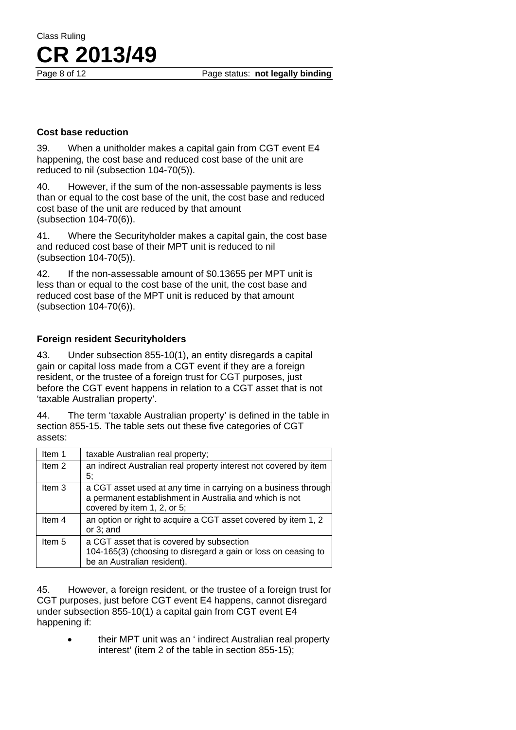Class Ruling **CR 2013/49**

#### **Cost base reduction**

39. When a unitholder makes a capital gain from CGT event E4 happening, the cost base and reduced cost base of the unit are reduced to nil (subsection 104-70(5)).

40. However, if the sum of the non-assessable payments is less than or equal to the cost base of the unit, the cost base and reduced cost base of the unit are reduced by that amount (subsection 104-70(6)).

41. Where the Securityholder makes a capital gain, the cost base and reduced cost base of their MPT unit is reduced to nil (subsection 104-70(5)).

42. If the non-assessable amount of \$0.13655 per MPT unit is less than or equal to the cost base of the unit, the cost base and reduced cost base of the MPT unit is reduced by that amount (subsection 104-70(6)).

#### **Foreign resident Securityholders**

43. Under subsection 855-10(1), an entity disregards a capital gain or capital loss made from a CGT event if they are a foreign resident, or the trustee of a foreign trust for CGT purposes, just before the CGT event happens in relation to a CGT asset that is not 'taxable Australian property'.

44. The term 'taxable Australian property' is defined in the table in section 855-15. The table sets out these five categories of CGT assets:

| Item 1            | taxable Australian real property;                                                                                                                        |
|-------------------|----------------------------------------------------------------------------------------------------------------------------------------------------------|
| Item 2            | an indirect Australian real property interest not covered by item<br>5;                                                                                  |
| Item <sub>3</sub> | a CGT asset used at any time in carrying on a business through<br>a permanent establishment in Australia and which is not<br>covered by item 1, 2, or 5; |
| Item 4            | an option or right to acquire a CGT asset covered by item 1, 2<br>or $3$ ; and                                                                           |
| Item 5            | a CGT asset that is covered by subsection<br>104-165(3) (choosing to disregard a gain or loss on ceasing to<br>be an Australian resident).               |

45. However, a foreign resident, or the trustee of a foreign trust for CGT purposes, just before CGT event E4 happens, cannot disregard under subsection 855-10(1) a capital gain from CGT event E4 happening if:

> • their MPT unit was an ' indirect Australian real property interest' (item 2 of the table in section 855-15);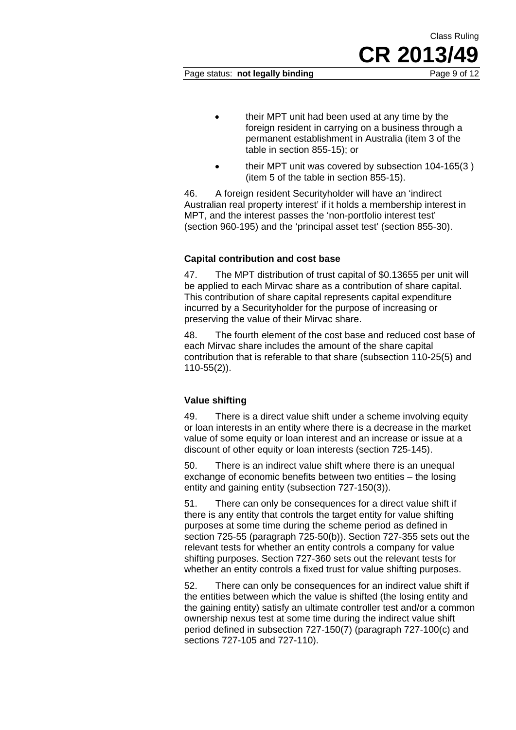Class Ruling

- their MPT unit had been used at any time by the foreign resident in carrying on a business through a permanent establishment in Australia (item 3 of the table in section 855-15); or
- their MPT unit was covered by subsection 104-165(3 ) (item 5 of the table in section 855-15).

46. A foreign resident Securityholder will have an 'indirect Australian real property interest' if it holds a membership interest in MPT, and the interest passes the 'non-portfolio interest test' (section 960-195) and the 'principal asset test' (section 855-30).

#### **Capital contribution and cost base**

47. The MPT distribution of trust capital of \$0.13655 per unit will be applied to each Mirvac share as a contribution of share capital. This contribution of share capital represents capital expenditure incurred by a Securityholder for the purpose of increasing or preserving the value of their Mirvac share.

48. The fourth element of the cost base and reduced cost base of each Mirvac share includes the amount of the share capital contribution that is referable to that share (subsection 110-25(5) and 110-55(2)).

#### **Value shifting**

49. There is a direct value shift under a scheme involving equity or loan interests in an entity where there is a decrease in the market value of some equity or loan interest and an increase or issue at a discount of other equity or loan interests (section 725-145).

50. There is an indirect value shift where there is an unequal exchange of economic benefits between two entities – the losing entity and gaining entity (subsection 727-150(3)).

51. There can only be consequences for a direct value shift if there is any entity that controls the target entity for value shifting purposes at some time during the scheme period as defined in section 725-55 (paragraph 725-50(b)). Section 727-355 sets out the relevant tests for whether an entity controls a company for value shifting purposes. Section 727-360 sets out the relevant tests for whether an entity controls a fixed trust for value shifting purposes.

52. There can only be consequences for an indirect value shift if the entities between which the value is shifted (the losing entity and the gaining entity) satisfy an ultimate controller test and/or a common ownership nexus test at some time during the indirect value shift period defined in subsection 727-150(7) (paragraph 727-100(c) and sections 727-105 and 727-110).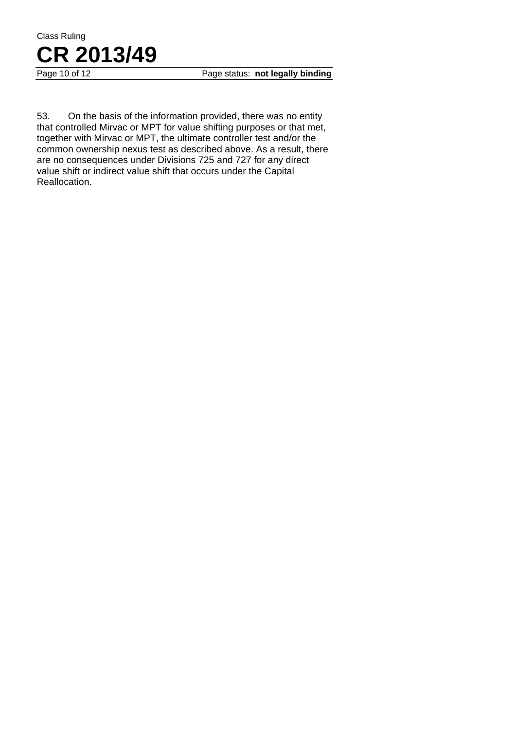

Page 10 of 12 **Page status: not legally binding** 

53. On the basis of the information provided, there was no entity that controlled Mirvac or MPT for value shifting purposes or that met, together with Mirvac or MPT, the ultimate controller test and/or the common ownership nexus test as described above. As a result, there are no consequences under Divisions 725 and 727 for any direct value shift or indirect value shift that occurs under the Capital Reallocation.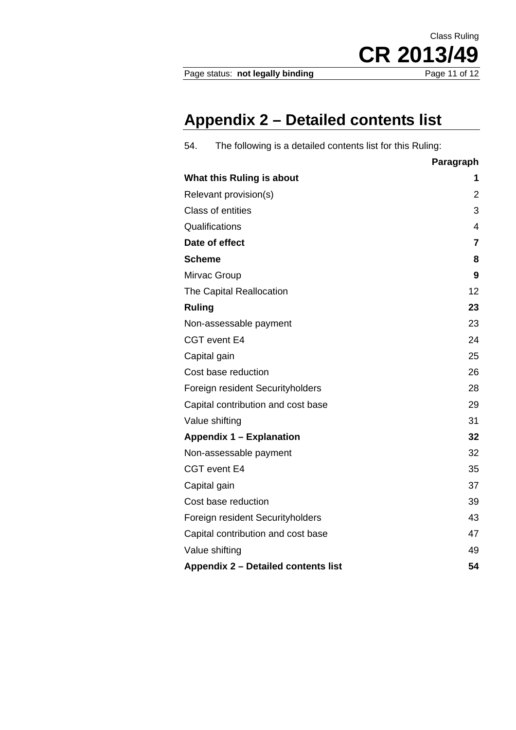Page status: not legally binding

CR 2013/49

Class Ruling

# **Appendix 2 – Detailed contents list**

| The following is a detailed contents list for this Ruling:<br>54. |                |  |
|-------------------------------------------------------------------|----------------|--|
|                                                                   | Paragraph      |  |
| What this Ruling is about                                         | 1              |  |
| Relevant provision(s)                                             | 2              |  |
| <b>Class of entities</b>                                          | 3              |  |
| Qualifications                                                    | $\overline{4}$ |  |
| Date of effect                                                    |                |  |
| <b>Scheme</b>                                                     |                |  |
| Mirvac Group                                                      | 9              |  |
| The Capital Reallocation                                          | 12             |  |
| <b>Ruling</b>                                                     | 23             |  |
| Non-assessable payment                                            | 23             |  |
| CGT event E4                                                      | 24             |  |
| Capital gain                                                      | 25             |  |
| Cost base reduction                                               | 26             |  |
| Foreign resident Securityholders                                  | 28             |  |
| Capital contribution and cost base                                | 29             |  |
| Value shifting                                                    | 31             |  |
| <b>Appendix 1 - Explanation</b>                                   | 32             |  |
| Non-assessable payment                                            | 32             |  |
| CGT event E4                                                      | 35             |  |
| Capital gain                                                      | 37             |  |
| Cost base reduction                                               | 39             |  |
| Foreign resident Securityholders                                  | 43             |  |
| Capital contribution and cost base                                | 47             |  |
| Value shifting                                                    | 49             |  |
| Appendix 2 - Detailed contents list                               | 54             |  |